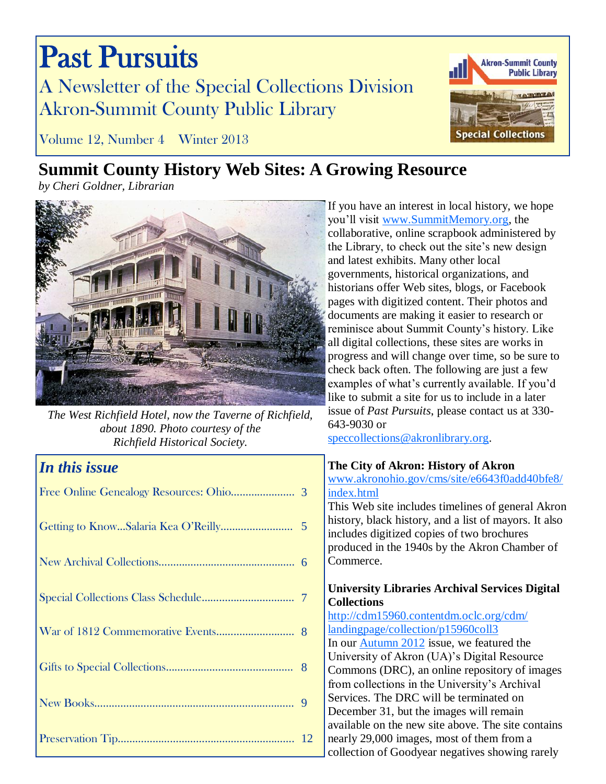# Past Pursuits A Newsletter of the Special Collections Division Akron-Summit County Public Library



Volume 12, Number 4 Winter 2013

## **Summit County History Web Sites: A Growing Resource**

*by Cheri Goldner, Librarian*



*The West Richfield Hotel, now the Taverne of Richfield, about 1890. Photo courtesy of the Richfield Historical Society.*

## *In this issue*

If you have an interest in local history, we hope you'll visit [www.SummitMemory.org,](http://www.SummitMemory.org) the collaborative, online scrapbook administered by the Library, to check out the site's new design and latest exhibits. Many other local governments, historical organizations, and historians offer Web sites, blogs, or Facebook pages with digitized content. Their photos and documents are making it easier to research or reminisce about Summit County's history. Like all digital collections, these sites are works in progress and will change over time, so be sure to check back often. The following are just a few examples of what's currently available. If you'd like to submit a site for us to include in a later issue of *Past Pursuits*, please contact us at 330- 643-9030 or

[speccollections@akronlibrary.org.](mailto:speccollections@akronlibrary.org)

## **The City of Akron: History of Akron**

[www.akronohio.gov/cms/site/e6643f0add40bfe8/](http://www.akronohio.gov/cms/site/e6643f0add40bfe8/index.html) [index.html](http://www.akronohio.gov/cms/site/e6643f0add40bfe8/index.html)

This Web site includes timelines of general Akron history, black history, and a list of mayors. It also includes digitized copies of two brochures produced in the 1940s by the Akron Chamber of Commerce.

#### **University Libraries Archival Services Digital Collections**

[http://cdm15960.contentdm.oclc.org/cdm/](http://cdm15960.contentdm.oclc.org/cdm/landingpage/collection/p15960coll3) [landingpage/collection/p15960coll3](http://cdm15960.contentdm.oclc.org/cdm/landingpage/collection/p15960coll3) In our [Autumn 2012](http://sc.akronlibrary.org/files/2012/09/pursuits11-3.pdf) issue, we featured the University of Akron (UA)'s Digital Resource Commons (DRC), an online repository of images from collections in the University's Archival Services. The DRC will be terminated on December 31, but the images will remain available on the new site above. The site contains nearly 29,000 images, most of them from a collection of Goodyear negatives showing rarely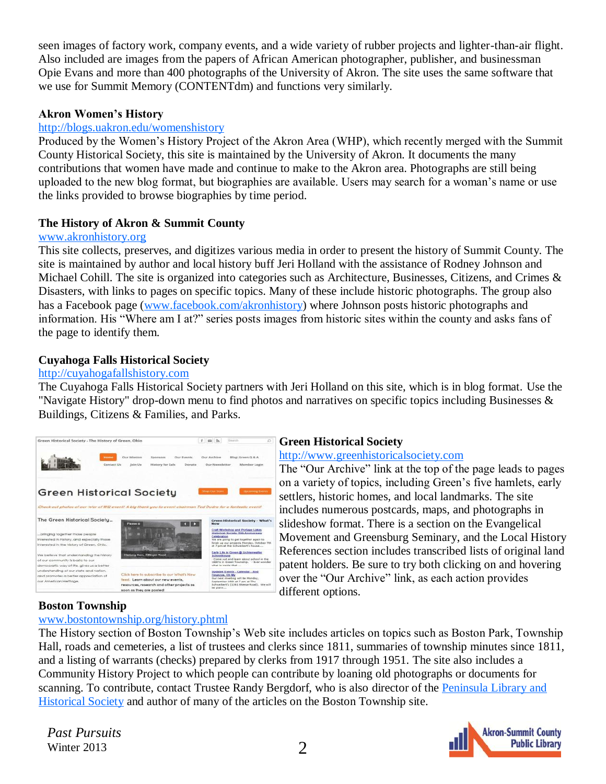seen images of factory work, company events, and a wide variety of rubber projects and lighter-than-air flight. Also included are images from the papers of African American photographer, publisher, and businessman Opie Evans and more than 400 photographs of the University of Akron. The site uses the same software that we use for Summit Memory (CONTENTdm) and functions very similarly.

#### **Akron Women's History**

#### [http://blogs.uakron.edu/womenshistory](http://blogs.uakron.edu/womenshistory/)

Produced by the Women's History Project of the Akron Area (WHP), which recently merged with the Summit County Historical Society, this site is maintained by the University of Akron. It documents the many contributions that women have made and continue to make to the Akron area. Photographs are still being uploaded to the new blog format, but biographies are available. Users may search for a woman's name or use the links provided to browse biographies by time period.

#### **The History of Akron & Summit County**

#### [www.akronhistory.org](http://www.akronhistory.org/)

This site collects, preserves, and digitizes various media in order to present the history of Summit County. The site is maintained by author and local history buff Jeri Holland with the assistance of Rodney Johnson and Michael Cohill. The site is organized into categories such as Architecture, Businesses, Citizens, and Crimes & Disasters, with links to pages on specific topics. Many of these include historic photographs. The group also has a Facebook page ([www.facebook.com/akronhistory\)](https://www.facebook.com/akronhistory) where Johnson posts historic photographs and information. His "Where am I at?" series posts images from historic sites within the county and asks fans of the page to identify them.

#### **[Cuyahoga Falls Historical Society](http://cuyahogafallshistory.com/)**

#### [http://cuyahogafallshistory.com](http://cuyahogafallshistory.com/)

The Cuyahoga Falls Historical Society partners with Jeri Holland on this site, which is in blog format. Use the "Navigate History" drop-down menu to find photos and narratives on specific topics including Businesses & Buildings, Citizens & Families, and Parks.



#### **Green Historical Society**

#### [http://www.greenhistoricalsociety.com](http://www.greenhistoricalsociety.com/)

The "Our Archive" link at the top of the page leads to pages on a variety of topics, including Green's five hamlets, early settlers, historic homes, and local landmarks. The site includes numerous postcards, maps, and photographs in slideshow format. There is a section on the Evangelical Movement and Greensburg Seminary, and the Local History References section includes transcribed lists of original land patent holders. Be sure to try both clicking on and hovering over the "Our Archive" link, as each action provides different options.

#### **Boston Township**

#### [www.bostontownship.org/history.phtml](http://www.bostontownship.org/history.phtml)

The History section of Boston Township's Web site includes articles on topics such as Boston Park, Township Hall, roads and cemeteries, a list of trustees and clerks since 1811, summaries of township minutes since 1811, and a listing of warrants (checks) prepared by clerks from 1917 through 1951. The site also includes a Community History Project to which people can contribute by loaning old photographs or documents for scanning. To contribute, contact Trustee Randy Bergdorf, who is also director of the Peninsula Library and [Historical Society](http://www.peninsulalibrary.org/) and author of many of the articles on the Boston Township site.

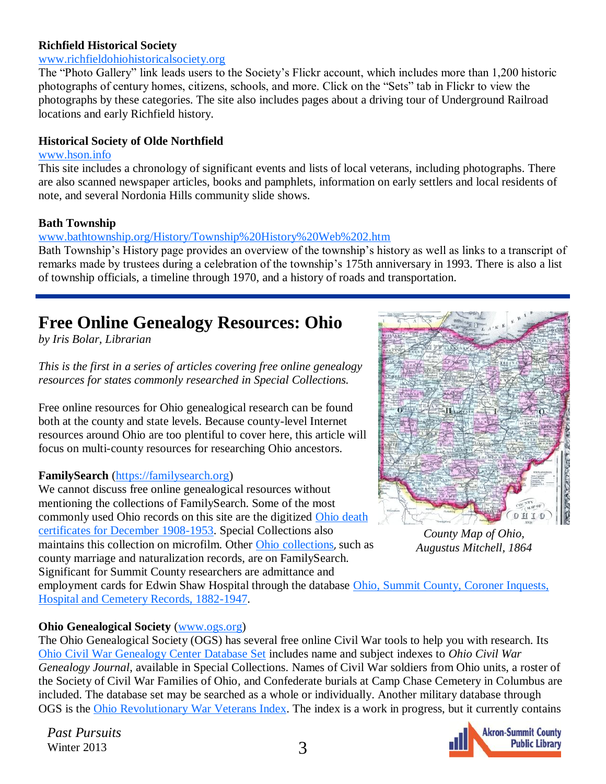#### <span id="page-2-0"></span>**Richfield Historical Society**

#### [www.richfieldohiohistoricalsociety.org](http://www.richfieldohiohistoricalsociety.org/page/page/5511719.htm)

The "Photo Gallery" link leads users to the Society's Flickr account, which includes more than 1,200 historic photographs of century homes, citizens, schools, and more. Click on the "Sets" tab in Flickr to view the photographs by these categories. The site also includes pages about a driving tour of Underground Railroad locations and early Richfield history.

#### **Historical Society of Olde Northfield**

#### [www.hson.info](http://www.hson.info/)

This site includes a chronology of significant events and lists of local veterans, including photographs. There are also scanned newspaper articles, books and pamphlets, information on early settlers and local residents of note, and several Nordonia Hills community slide shows.

#### **Bath Township**

#### [www.bathtownship.org/History/Township%20History%20Web%202.htm](http://www.bathtownship.org/History/Township%20History%20Web%202.htm)

Bath Township's History page provides an overview of the township's history as well as links to a transcript of remarks made by trustees during a celebration of the township's 175th anniversary in 1993. There is also a list of township officials, a timeline through 1970, and a history of roads and transportation.

## **Free Online Genealogy Resources: Ohio**

*by Iris Bolar, Librarian*

*This is the first in a series of articles covering free online genealogy resources for states commonly researched in Special Collections.*

Free online resources for Ohio genealogical research can be found both at the county and state levels. Because county-level Internet resources around Ohio are too plentiful to cover here, this article will focus on multi-county resources for researching Ohio ancestors.

#### **FamilySearch** [\(https://familysearch.org\)](https://familysearch.org/)

We cannot discuss free online genealogical resources without mentioning the collections of FamilySearch. Some of the most commonly used Ohio records on this site are the digitized Ohio death [certificates for December 1908-1953.](https://familysearch.org/search/collection/1307272) Special Collections also maintains this collection on microfilm. Other [Ohio collections](https://familysearch.org/search/collection/list#page=1&countryId=43), such as county marriage and naturalization records, are on FamilySearch. Significant for Summit County researchers are admittance and



*County Map of Ohio, Augustus Mitchell, 1864*

employment cards for Edwin Shaw Hospital through the database Ohio, Summit County, Coroner Inquests, [Hospital and Cemetery Records, 1882-1947.](https://familysearch.org/search/collection/1985540)

#### **Ohio Genealogical Society** ([www.ogs.org\)](http://www.ogs.org)

The Ohio Genealogical Society (OGS) has several free online Civil War tools to help you with research. Its [Ohio Civil War Genealogy Center Database Set](http://www.ogs.org/cwc/search_allfreecwc.php) includes name and subject indexes to *Ohio Civil War Genealogy Journal*, available in Special Collections. Names of Civil War soldiers from Ohio units, a roster of the Society of Civil War Families of Ohio*,* and Confederate burials at Camp Chase Cemetery in Columbus are included. The database set may be searched as a whole or individually. Another military database through OGS is the [Ohio Revolutionary War Veterans Index.](http://www.ogs.org/research/search_revwarvets.php) The index is a work in progress, but it currently contains

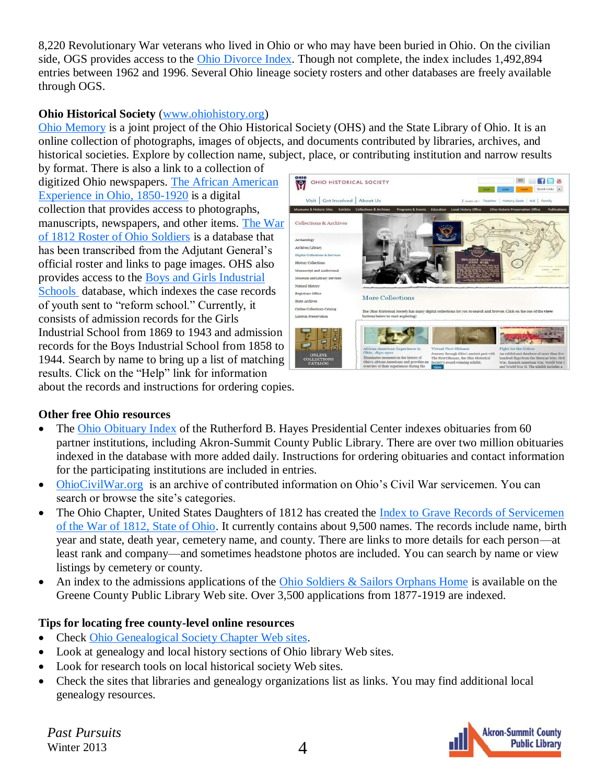8,220 Revolutionary War veterans who lived in Ohio or who may have been buried in Ohio. On the civilian side, OGS provides access to the [Ohio Divorce Index.](http://www.ogs.org/research/search_ohdivorces.php) Though not complete, the index includes 1,492,894 entries between 1962 and 1996. Several Ohio lineage society rosters and other databases are freely available through OGS.

#### **Ohio Historical Society** ([www.ohiohistory.org\)](http://www.ohiohistory.org)

[Ohio Memory](http://www.ohiomemory.org/#ad-image-0) is a joint project of the Ohio Historical Society (OHS) and the State Library of Ohio. It is an online collection of photographs, images of objects, and documents contributed by libraries, archives, and historical societies. Explore by collection name, subject, place, or contributing institution and narrow results

by format. There is also a link to a collection of digitized Ohio newspapers. [The African American](http://dbs.ohiohistory.org/africanam/index.stm)  [Experience in Ohio, 1850-1920](http://dbs.ohiohistory.org/africanam/index.stm) is a digital collection that provides access to photographs, manuscripts, newspapers, and other items. [The War](http://ww2.ohiohistory.org/resource/database/rosters.html)  [of 1812 Roster of Ohio Soldiers](http://ww2.ohiohistory.org/resource/database/rosters.html) is a database that has been transcribed from the Adjutant General's official roster and links to page images. OHS also provides access to the [Boys and Girls Industrial](http://ww2.ohiohistory.org/resource/database/industrial/)  [Schools d](http://ww2.ohiohistory.org/resource/database/industrial/)atabase, which indexes the case records of youth sent to "reform school." Currently, it consists of admission records for the Girls Industrial School from 1869 to 1943 and admission records for the Boys Industrial School from 1858 to 1944. Search by name to bring up a list of matching results. Click on the "Help" link for information



about the records and instructions for ordering copies.

#### **Other free Ohio resources**

- The [Ohio Obituary Index](http://index.rbhayes.org/hayes/index/) of the Rutherford B. Hayes Presidential Center indexes obituaries from 60 partner institutions, including Akron-Summit County Public Library. There are over two million obituaries indexed in the database with more added daily. Instructions for ordering obituaries and contact information for the participating institutions are included in entries.
- [OhioCivilWar.org](http://www.ohiocivilwar.org/) is an archive of contributed information on Ohio's Civil War servicemen. You can search or browse the site's categories.
- The Ohio Chapter, United States Daughters of 1812 has created the [Index to Grave Records of Servicemen](http://www.ohiodaughters1812.org/ohio1812/graveindex/default.php)  [of the War of 1812, State of Ohio.](http://www.ohiodaughters1812.org/ohio1812/graveindex/default.php) It currently contains about 9,500 names. The records include name, birth year and state, death year, cemetery name, and county. There are links to more details for each person—at least rank and company—and sometimes headstone photos are included. You can search by name or view listings by cemetery or county.
- An index to the admissions applications of the Ohio Soldiers  $\&$  Sailors Orphans Home is available on the Greene County Public Library Web site. Over 3,500 applications from 1877-1919 are indexed.

#### **Tips for locating free county-level online resources**

- Check [Ohio Genealogical Society Chapter Web sites.](http://www.ogs.org/chapters/index.php)
- Look at genealogy and local history sections of Ohio library Web sites.
- Look for research tools on local historical society Web sites.
- Check the sites that libraries and genealogy organizations list as links. You may find additional local genealogy resources.

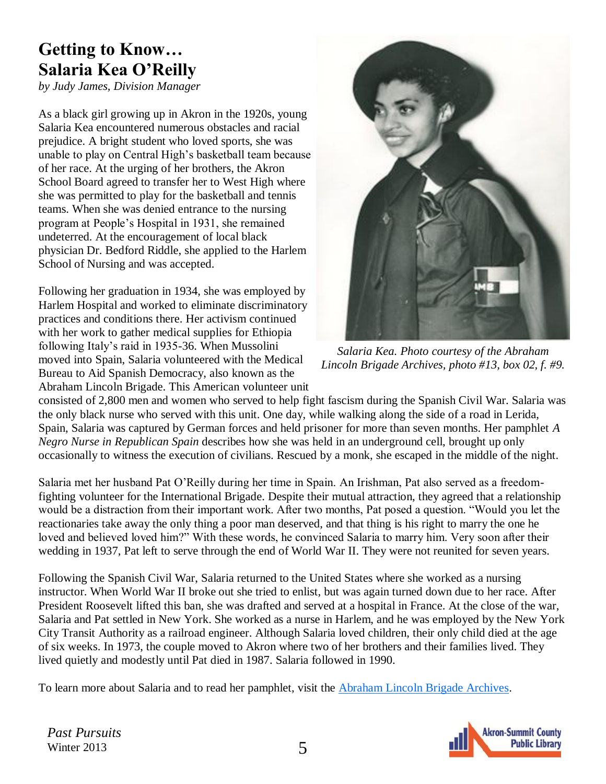## <span id="page-4-0"></span>**Getting to Know… Salaria Kea O'Reilly**

*by Judy James, Division Manager*

As a black girl growing up in Akron in the 1920s, young Salaria Kea encountered numerous obstacles and racial prejudice. A bright student who loved sports, she was unable to play on Central High's basketball team because of her race. At the urging of her brothers, the Akron School Board agreed to transfer her to West High where she was permitted to play for the basketball and tennis teams. When she was denied entrance to the nursing program at People's Hospital in 1931, she remained undeterred. At the encouragement of local black physician Dr. Bedford Riddle, she applied to the Harlem School of Nursing and was accepted.

Following her graduation in 1934, she was employed by Harlem Hospital and worked to eliminate discriminatory practices and conditions there. Her activism continued with her work to gather medical supplies for Ethiopia following Italy's raid in 1935-36. When Mussolini moved into Spain, Salaria volunteered with the Medical Bureau to Aid Spanish Democracy, also known as the Abraham Lincoln Brigade. This American volunteer unit



*Salaria Kea. Photo courtesy of the Abraham Lincoln Brigade Archives, photo #13, box 02, f. #9.* 

consisted of 2,800 men and women who served to help fight fascism during the Spanish Civil War. Salaria was the only black nurse who served with this unit. One day, while walking along the side of a road in Lerida, Spain, Salaria was captured by German forces and held prisoner for more than seven months. Her pamphlet *A Negro Nurse in Republican Spain* describes how she was held in an underground cell, brought up only occasionally to witness the execution of civilians. Rescued by a monk, she escaped in the middle of the night.

Salaria met her husband Pat O'Reilly during her time in Spain. An Irishman, Pat also served as a freedomfighting volunteer for the International Brigade. Despite their mutual attraction, they agreed that a relationship would be a distraction from their important work. After two months, Pat posed a question. "Would you let the reactionaries take away the only thing a poor man deserved, and that thing is his right to marry the one he loved and believed loved him?" With these words, he convinced Salaria to marry him. Very soon after their wedding in 1937, Pat left to serve through the end of World War II. They were not reunited for seven years.

Following the Spanish Civil War, Salaria returned to the United States where she worked as a nursing instructor. When World War II broke out she tried to enlist, but was again turned down due to her race. After President Roosevelt lifted this ban, she was drafted and served at a hospital in France. At the close of the war, Salaria and Pat settled in New York. She worked as a nurse in Harlem, and he was employed by the New York City Transit Authority as a railroad engineer. Although Salaria loved children, their only child died at the age of six weeks. In 1973, the couple moved to Akron where two of her brothers and their families lived. They lived quietly and modestly until Pat died in 1987. Salaria followed in 1990.

To learn more about Salaria and to read her pamphlet, visit the **Abraham Lincoln Brigade Archives**.

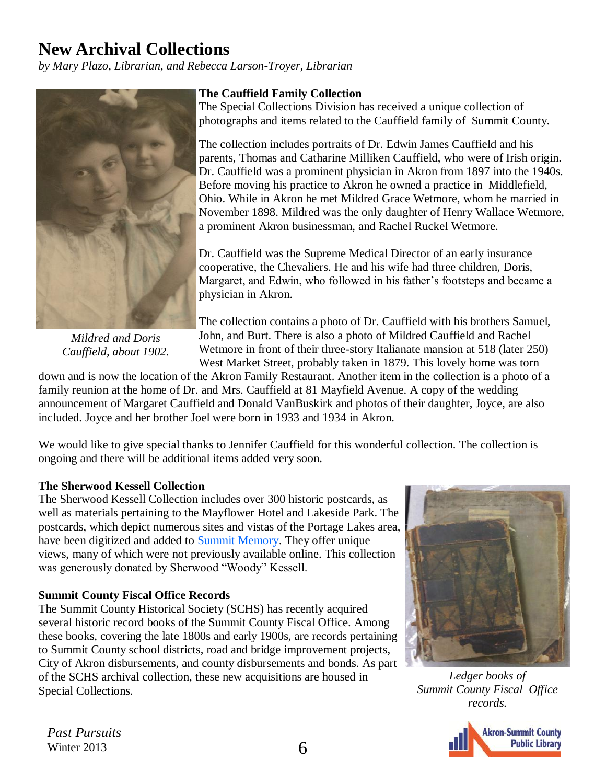## <span id="page-5-0"></span>**New Archival Collections**

*by Mary Plazo, Librarian, and Rebecca Larson-Troyer, Librarian*



*Mildred and Doris Cauffield, about 1902.*

#### **The Cauffield Family Collection**

The Special Collections Division has received a unique collection of photographs and items related to the Cauffield family of Summit County.

The collection includes portraits of Dr. Edwin James Cauffield and his parents, Thomas and Catharine Milliken Cauffield, who were of Irish origin. Dr. Cauffield was a prominent physician in Akron from 1897 into the 1940s. Before moving his practice to Akron he owned a practice in Middlefield, Ohio. While in Akron he met Mildred Grace Wetmore, whom he married in November 1898. Mildred was the only daughter of Henry Wallace Wetmore, a prominent Akron businessman, and Rachel Ruckel Wetmore.

Dr. Cauffield was the Supreme Medical Director of an early insurance cooperative, the Chevaliers. He and his wife had three children, Doris, Margaret, and Edwin, who followed in his father's footsteps and became a physician in Akron.

The collection contains a photo of Dr. Cauffield with his brothers Samuel, John, and Burt. There is also a photo of Mildred Cauffield and Rachel Wetmore in front of their three-story Italianate mansion at 518 (later 250) West Market Street, probably taken in 1879. This lovely home was torn

down and is now the location of the Akron Family Restaurant. Another item in the collection is a photo of a family reunion at the home of Dr. and Mrs. Cauffield at 81 Mayfield Avenue. A copy of the wedding announcement of Margaret Cauffield and Donald VanBuskirk and photos of their daughter, Joyce, are also included. Joyce and her brother Joel were born in 1933 and 1934 in Akron.

We would like to give special thanks to Jennifer Cauffield for this wonderful collection. The collection is ongoing and there will be additional items added very soon.

#### **The Sherwood Kessell Collection**

The Sherwood Kessell Collection includes over 300 historic postcards, as well as materials pertaining to the Mayflower Hotel and Lakeside Park. The postcards, which depict numerous sites and vistas of the Portage Lakes area, have been digitized and added to [Summit Memory.](http://www.summitmemory.org/) They offer unique views, many of which were not previously available online. This collection was generously donated by Sherwood "Woody" Kessell.

#### **Summit County Fiscal Office Records**

The Summit County Historical Society (SCHS) has recently acquired several historic record books of the Summit County Fiscal Office. Among these books, covering the late 1800s and early 1900s, are records pertaining to Summit County school districts, road and bridge improvement projects, City of Akron disbursements, and county disbursements and bonds. As part of the SCHS archival collection, these new acquisitions are housed in Special Collections.



*Ledger books of Summit County Fiscal Office records.*

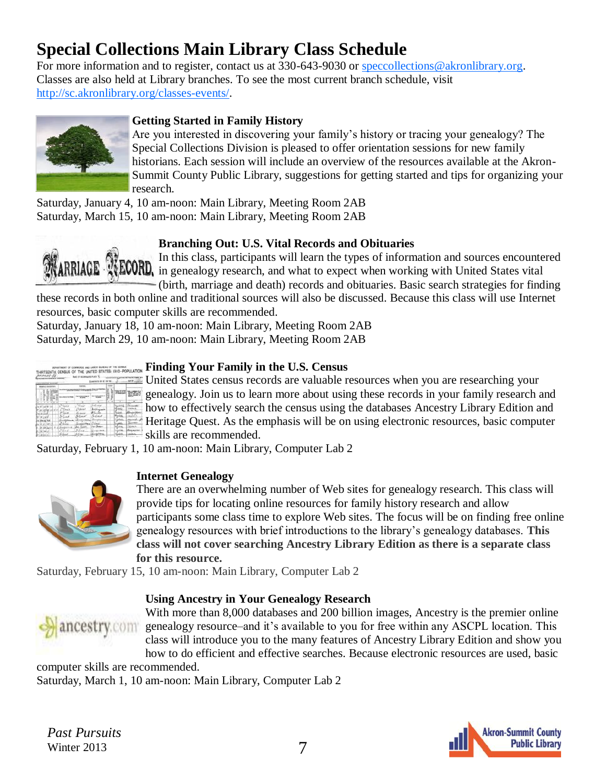## <span id="page-6-0"></span>**Special Collections Main Library Class Schedule**

For more information and to register, contact us at 330-643-9030 or [speccollections@akronlibrary.org.](mailto:speccollections@akronlibrary.org) Classes are also held at Library branches. To see the most current branch schedule, visit [http://sc.akronlibrary.org/classes-events/.](http://sc.akronlibrary.org/classes-events/)



#### **Getting Started in Family History**

Are you interested in discovering your family's history or tracing your genealogy? The Special Collections Division is pleased to offer orientation sessions for new family historians. Each session will include an overview of the resources available at the Akron-Summit County Public Library, suggestions for getting started and tips for organizing your research.

Saturday, January 4, 10 am-noon: Main Library, Meeting Room 2AB Saturday, March 15, 10 am-noon: Main Library, Meeting Room 2AB

#### **Branching Out: U.S. Vital Records and Obituaries**

In this class, participants will learn the types of information and sources encountered **RRIAGE** WECORD, in this class, participants with compare to the working with United States vital (birth, marriage and death) records and obituaries. Basic search strategies for finding

these records in both online and traditional sources will also be discussed. Because this class will use Internet resources, basic computer skills are recommended.

Saturday, January 18, 10 am-noon: Main Library, Meeting Room 2AB Saturday, March 29, 10 am-noon: Main Library, Meeting Room 2AB

|                                               |                        |                                     | <b>Exception EX #1</b>                  |        |                                 |                                         |
|-----------------------------------------------|------------------------|-------------------------------------|-----------------------------------------|--------|---------------------------------|-----------------------------------------|
| <b>FRIDAY</b><br>m                            | teams                  |                                     |                                         |        | $\overline{a}$                  |                                         |
|                                               |                        |                                     |                                         | ı<br>s |                                 |                                         |
| ×<br>٠<br>$-11$<br>н<br><b>SHARLIN</b><br>210 | <b>GO</b><br>ŵ<br>THER | <b>Side</b><br><b>SOL</b><br>٠<br>٠ | ALC: NO<br><b><i>Chicagona data</i></b> |        | 44<br>÷ö.                       | 1/4                                     |
|                                               | Tee 4<br>فنفذ          | 8060<br>Casa                        | نغما<br><b>Northeast</b>                |        | in<br>Weissland                 | Bur<br><b>Side of</b><br><b>Marchet</b> |
|                                               | tire                   |                                     | <b>Finci</b>                            |        | <b><i><u>SAMAN</u></i></b><br>m | $\cdots$                                |
| ú<br>м                                        |                        |                                     |                                         |        | ÷                               | <b>COLOR</b><br>n.<br><b>STATE</b>      |
|                                               | 18<br>$10 + 4$         |                                     |                                         |        |                                 | 3430                                    |

#### **Finding Your Family in the U.S. Census**

United States census records are valuable resources when you are researching your genealogy. Join us to learn more about using these records in your family research and how to effectively search the census using the databases Ancestry Library Edition and Heritage Quest. As the emphasis will be on using electronic resources, basic computer skills are recommended.

Saturday, February 1, 10 am-noon: Main Library, Computer Lab 2



#### **Internet Genealogy**

There are an overwhelming number of Web sites for genealogy research. This class will provide tips for locating online resources for family history research and allow participants some class time to explore Web sites. The focus will be on finding free online genealogy resources with brief introductions to the library's genealogy databases. **This class will not cover searching Ancestry Library Edition as there is a separate class for this resource.**

Saturday, February 15, 10 am-noon: Main Library, Computer Lab 2

#### **Using Ancestry in Your Genealogy Research**



With more than 8,000 databases and 200 billion images, Ancestry is the premier online genealogy resource–and it's available to you for free within any ASCPL location. This class will introduce you to the many features of Ancestry Library Edition and show you how to do efficient and effective searches. Because electronic resources are used, basic

computer skills are recommended. Saturday, March 1, 10 am-noon: Main Library, Computer Lab 2

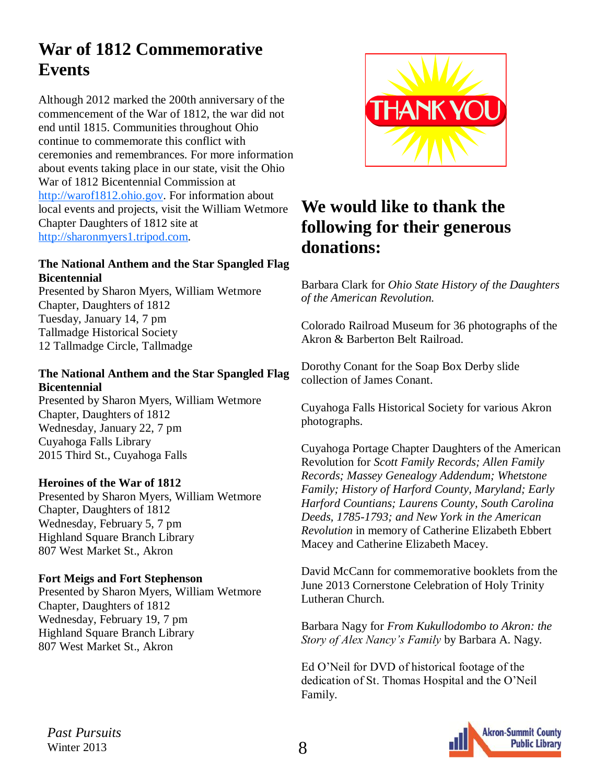## <span id="page-7-0"></span>**War of 1812 Commemorative Events**

Although 2012 marked the 200th anniversary of the commencement of the War of 1812, the war did not end until 1815. Communities throughout Ohio continue to commemorate this conflict with ceremonies and remembrances. For more information about events taking place in our state, visit the Ohio War of 1812 Bicentennial Commission at [http://warof1812.ohio.gov.](http://warof1812.ohio.gov) For information about local events and projects, visit the William Wetmore Chapter Daughters of 1812 site at [http://sharonmyers1.tripod.com.](http://sharonmyers1.tripod.com)

#### **The National Anthem and the Star Spangled Flag Bicentennial**

Presented by Sharon Myers, William Wetmore Chapter, Daughters of 1812 Tuesday, January 14, 7 pm Tallmadge Historical Society 12 Tallmadge Circle, Tallmadge

#### **The National Anthem and the Star Spangled Flag Bicentennial**

Presented by Sharon Myers, William Wetmore Chapter, Daughters of 1812 Wednesday, January 22, 7 pm Cuyahoga Falls Library 2015 Third St., Cuyahoga Falls

#### **Heroines of the War of 1812**

Presented by Sharon Myers, William Wetmore Chapter, Daughters of 1812 Wednesday, February 5, 7 pm Highland Square Branch Library 807 West Market St., Akron

#### **Fort Meigs and Fort Stephenson**

Presented by Sharon Myers, William Wetmore Chapter, Daughters of 1812 Wednesday, February 19, 7 pm Highland Square Branch Library 807 West Market St., Akron



## **We would like to thank the following for their generous donations:**

Barbara Clark for *Ohio State History of the Daughters of the American Revolution.*

Colorado Railroad Museum for 36 photographs of the Akron & Barberton Belt Railroad.

Dorothy Conant for the Soap Box Derby slide collection of James Conant.

Cuyahoga Falls Historical Society for various Akron photographs.

Cuyahoga Portage Chapter Daughters of the American Revolution for *Scott Family Records; Allen Family Records; Massey Genealogy Addendum; Whetstone Family; History of Harford County, Maryland; Early Harford Countians; Laurens County, South Carolina Deeds, 1785-1793; and New York in the American Revolution* in memory of Catherine Elizabeth Ebbert Macey and Catherine Elizabeth Macey.

David McCann for commemorative booklets from the June 2013 Cornerstone Celebration of Holy Trinity Lutheran Church.

Barbara Nagy for *From Kukullodombo to Akron: the Story of Alex Nancy's Family* by Barbara A. Nagy.

Ed O'Neil for DVD of historical footage of the dedication of St. Thomas Hospital and the O'Neil Family.

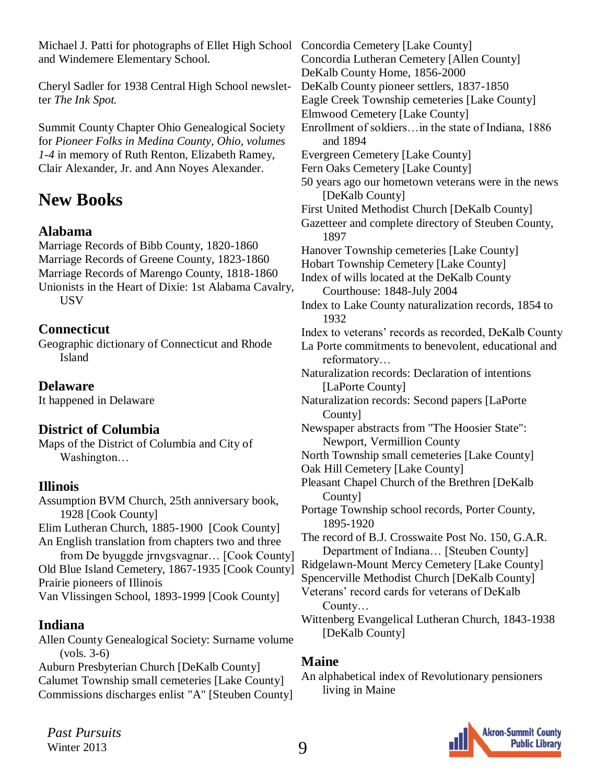<span id="page-8-0"></span>Michael J. Patti for photographs of Ellet High School Concordia Cemetery [Lake County] and Windemere Elementary School.

Cheryl Sadler for 1938 Central High School newsletter *The Ink Spot.*

Summit County Chapter Ohio Genealogical Society for *Pioneer Folks in Medina County, Ohio, volumes 1-4* in memory of Ruth Renton, Elizabeth Ramey, Clair Alexander, Jr. and Ann Noyes Alexander.

## **New Books**

### **Alabama**

Marriage Records of Bibb County, 1820-1860 Marriage Records of Greene County, 1823-1860 Marriage Records of Marengo County, 1818-1860 Unionists in the Heart of Dixie: 1st Alabama Cavalry, **USV** 

### **Connecticut**

Geographic dictionary of Connecticut and Rhode Island

**Delaware**

It happened in Delaware

## **District of Columbia**

Maps of the District of Columbia and City of Washington…

## **Illinois**

Assumption BVM Church, 25th anniversary book, 1928 [Cook County] Elim Lutheran Church, 1885-1900 [Cook County] An English translation from chapters two and three from De byuggde jrnvgsvagnar… [Cook County] Old Blue Island Cemetery, 1867-1935 [Cook County] Prairie pioneers of Illinois

Van Vlissingen School, 1893-1999 [Cook County]

## **Indiana**

Allen County Genealogical Society: Surname volume (vols. 3-6)

Auburn Presbyterian Church [DeKalb County] Calumet Township small cemeteries [Lake County] Commissions discharges enlist "A" [Steuben County]

Concordia Lutheran Cemetery [Allen County] DeKalb County Home, 1856-2000 DeKalb County pioneer settlers, 1837-1850 Eagle Creek Township cemeteries [Lake County] Elmwood Cemetery [Lake County] Enrollment of soldiers…in the state of Indiana, 1886 and 1894 Evergreen Cemetery [Lake County] Fern Oaks Cemetery [Lake County] 50 years ago our hometown veterans were in the news [DeKalb County] First United Methodist Church [DeKalb County] Gazetteer and complete directory of Steuben County, 1897 Hanover Township cemeteries [Lake County] Hobart Township Cemetery [Lake County] Index of wills located at the DeKalb County Courthouse: 1848-July 2004 Index to Lake County naturalization records, 1854 to 1932 Index to veterans' records as recorded, DeKalb County La Porte commitments to benevolent, educational and reformatory… Naturalization records: Declaration of intentions [LaPorte County] Naturalization records: Second papers [LaPorte County] Newspaper abstracts from "The Hoosier State": Newport, Vermillion County North Township small cemeteries [Lake County] Oak Hill Cemetery [Lake County] Pleasant Chapel Church of the Brethren [DeKalb County] Portage Township school records, Porter County, 1895-1920 The record of B.J. Crosswaite Post No. 150, G.A.R. Department of Indiana… [Steuben County] Ridgelawn-Mount Mercy Cemetery [Lake County] Spencerville Methodist Church [DeKalb County] Veterans' record cards for veterans of DeKalb County… Wittenberg Evangelical Lutheran Church, 1843-1938 [DeKalb County]

### **Maine**

#### An alphabetical index of Revolutionary pensioners living in Maine

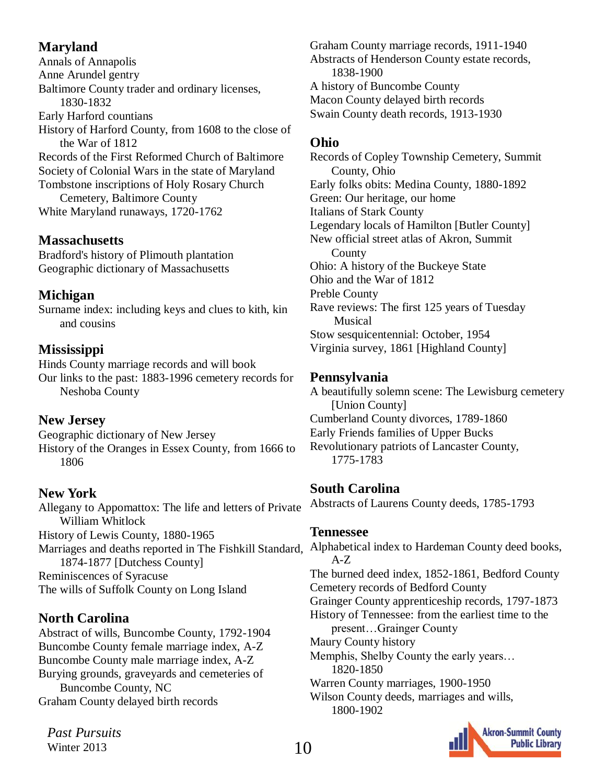## **Maryland**

Annals of Annapolis Anne Arundel gentry Baltimore County trader and ordinary licenses, 1830-1832 Early Harford countians History of Harford County, from 1608 to the close of the War of 1812 Records of the First Reformed Church of Baltimore Society of Colonial Wars in the state of Maryland Tombstone inscriptions of Holy Rosary Church Cemetery, Baltimore County White Maryland runaways, 1720-1762

## **Massachusetts**

Bradford's history of Plimouth plantation Geographic dictionary of Massachusetts

## **Michigan**

Surname index: including keys and clues to kith, kin and cousins

## **Mississippi**

Hinds County marriage records and will book Our links to the past: 1883-1996 cemetery records for Neshoba County

## **New Jersey**

Geographic dictionary of New Jersey History of the Oranges in Essex County, from 1666 to 1806

## **New York**

Allegany to Appomattox: The life and letters of Private William Whitlock History of Lewis County, 1880-1965 Marriages and deaths reported in The Fishkill Standard, 1874-1877 [Dutchess County] Reminiscences of Syracuse The wills of Suffolk County on Long Island

## **North Carolina**

Abstract of wills, Buncombe County, 1792-1904 Buncombe County female marriage index, A-Z Buncombe County male marriage index, A-Z Burying grounds, graveyards and cemeteries of Buncombe County, NC Graham County delayed birth records

*Past Pursuits* Winter 2013

Graham County marriage records, 1911-1940 Abstracts of Henderson County estate records, 1838-1900 A history of Buncombe County Macon County delayed birth records Swain County death records, 1913-1930

## **Ohio**

Records of Copley Township Cemetery, Summit County, Ohio Early folks obits: Medina County, 1880-1892 Green: Our heritage, our home Italians of Stark County Legendary locals of Hamilton [Butler County] New official street atlas of Akron, Summit **County** Ohio: A history of the Buckeye State Ohio and the War of 1812 Preble County Rave reviews: The first 125 years of Tuesday Musical Stow sesquicentennial: October, 1954 Virginia survey, 1861 [Highland County]

## **Pennsylvania**

A beautifully solemn scene: The Lewisburg cemetery [Union County] Cumberland County divorces, 1789-1860 Early Friends families of Upper Bucks Revolutionary patriots of Lancaster County, 1775-1783

## **South Carolina**

Abstracts of Laurens County deeds, 1785-1793

### **Tennessee**

Alphabetical index to Hardeman County deed books, A-Z The burned deed index, 1852-1861, Bedford County Cemetery records of Bedford County Grainger County apprenticeship records, 1797-1873 History of Tennessee: from the earliest time to the present…Grainger County Maury County history Memphis, Shelby County the early years… 1820-1850 Warren County marriages, 1900-1950 Wilson County deeds, marriages and wills, 1800-1902

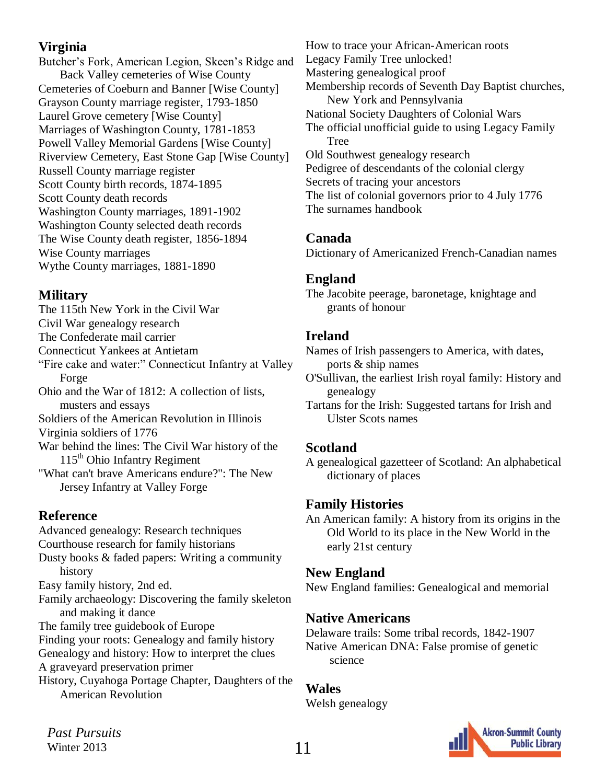### **Virginia**

Butcher's Fork, American Legion, Skeen's Ridge and Back Valley cemeteries of Wise County Cemeteries of Coeburn and Banner [Wise County] Grayson County marriage register, 1793-1850 Laurel Grove cemetery [Wise County] Marriages of Washington County, 1781-1853 Powell Valley Memorial Gardens [Wise County] Riverview Cemetery, East Stone Gap [Wise County] Russell County marriage register Scott County birth records, 1874-1895 Scott County death records Washington County marriages, 1891-1902 Washington County selected death records The Wise County death register, 1856-1894 Wise County marriages Wythe County marriages, 1881-1890

### **Military**

The 115th New York in the Civil War Civil War genealogy research The Confederate mail carrier Connecticut Yankees at Antietam "Fire cake and water:" Connecticut Infantry at Valley Forge Ohio and the War of 1812: A collection of lists, musters and essays Soldiers of the American Revolution in Illinois Virginia soldiers of 1776 War behind the lines: The Civil War history of the  $115<sup>th</sup>$  Ohio Infantry Regiment "What can't brave Americans endure?": The New Jersey Infantry at Valley Forge

## **Reference**

Advanced genealogy: Research techniques Courthouse research for family historians Dusty books & faded papers: Writing a community history Easy family history, 2nd ed. Family archaeology: Discovering the family skeleton and making it dance The family tree guidebook of Europe Finding your roots: Genealogy and family history Genealogy and history: How to interpret the clues A graveyard preservation primer History, Cuyahoga Portage Chapter, Daughters of the

American Revolution

How to trace your African-American roots Legacy Family Tree unlocked! Mastering genealogical proof Membership records of Seventh Day Baptist churches, New York and Pennsylvania National Society Daughters of Colonial Wars The official unofficial guide to using Legacy Family Tree Old Southwest genealogy research Pedigree of descendants of the colonial clergy Secrets of tracing your ancestors The list of colonial governors prior to 4 July 1776 The surnames handbook

## **Canada**

Dictionary of Americanized French-Canadian names

### **England**

The Jacobite peerage, baronetage, knightage and grants of honour

## **Ireland**

Names of Irish passengers to America, with dates, ports & ship names

- O'Sullivan, the earliest Irish royal family: History and genealogy
- Tartans for the Irish: Suggested tartans for Irish and Ulster Scots names

## **Scotland**

A genealogical gazetteer of Scotland: An alphabetical dictionary of places

## **Family Histories**

An American family: A history from its origins in the Old World to its place in the New World in the early 21st century

## **New England**

New England families: Genealogical and memorial

## **Native Americans**

Delaware trails: Some tribal records, 1842-1907 Native American DNA: False promise of genetic science

## **Wales**

Welsh genealogy

**Akron-Summit County Public Library**